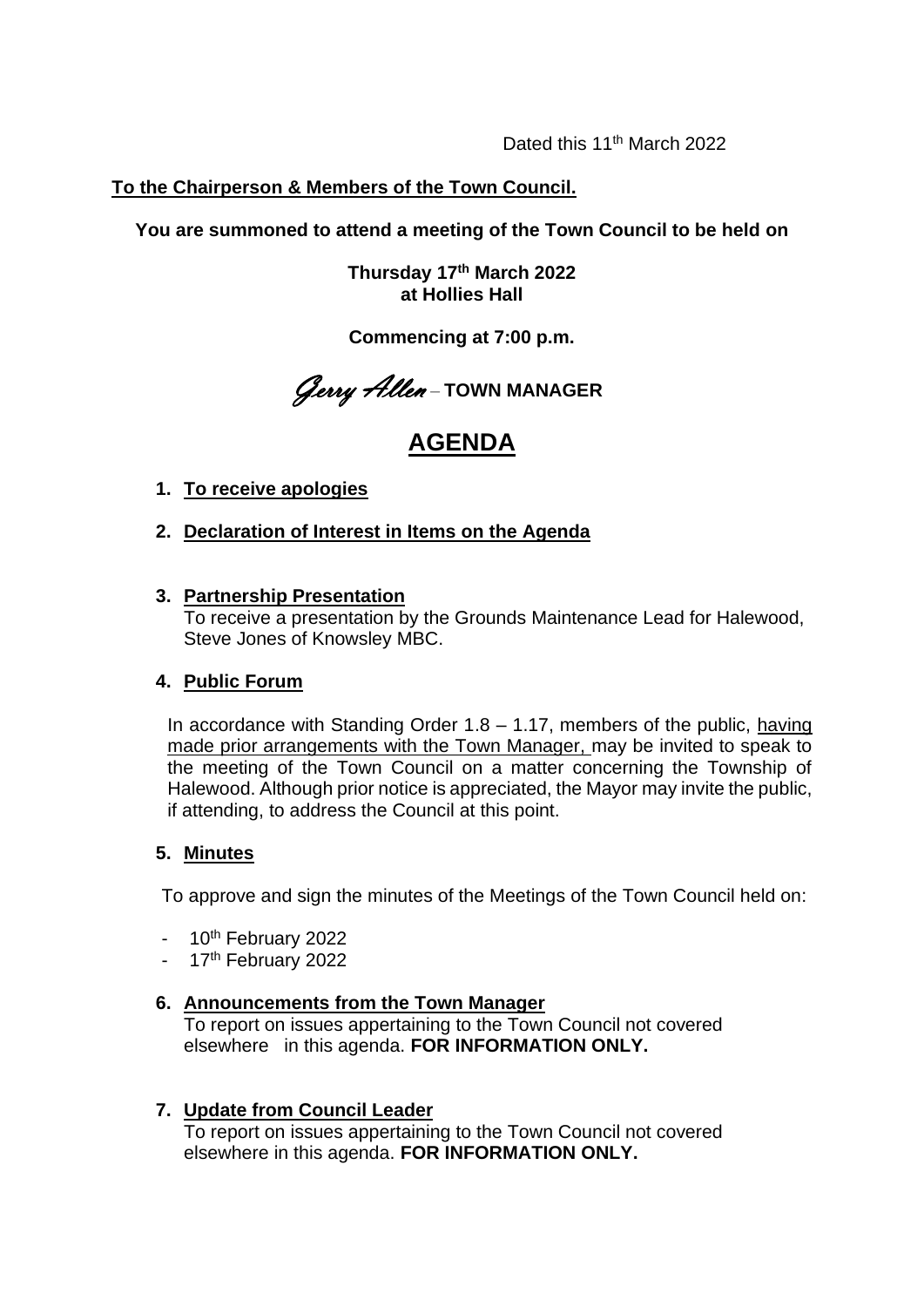Dated this 11<sup>th</sup> March 2022

## **To the Chairperson & Members of the Town Council.**

**You are summoned to attend a meeting of the Town Council to be held on**

**Thursday 17 th March 2022 at Hollies Hall**

**Commencing at 7:00 p.m.**

Gerry Allen – **TOWN MANAGER**

# **AGENDA**

- **1. To receive apologies**
- **2. Declaration of Interest in Items on the Agenda**
- **3. Partnership Presentation**

To receive a presentation by the Grounds Maintenance Lead for Halewood, Steve Jones of Knowsley MBC.

#### **4. Public Forum**

In accordance with Standing Order 1.8 – 1.17, members of the public, having made prior arrangements with the Town Manager, may be invited to speak to the meeting of the Town Council on a matter concerning the Township of Halewood. Although prior notice is appreciated, the Mayor may invite the public, if attending, to address the Council at this point.

#### **5. Minutes**

To approve and sign the minutes of the Meetings of the Town Council held on:

- $-10^{th}$  February 2022
- 17<sup>th</sup> February 2022

### **6. Announcements from the Town Manager**

To report on issues appertaining to the Town Council not covered elsewhere in this agenda. **FOR INFORMATION ONLY.** 

#### **7. Update from Council Leader**

To report on issues appertaining to the Town Council not covered elsewhere in this agenda. **FOR INFORMATION ONLY.**